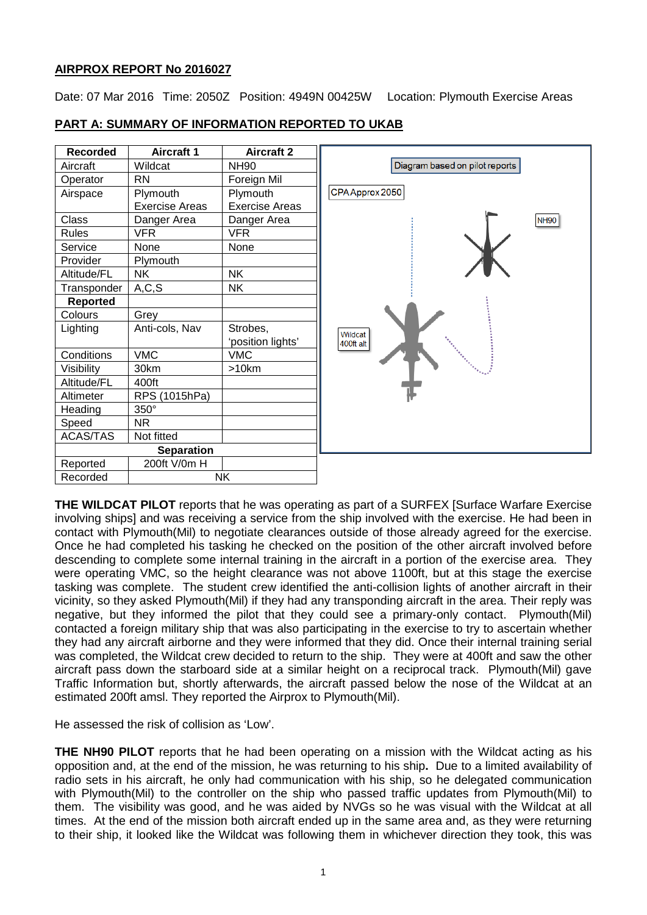# **AIRPROX REPORT No 2016027**

Date: 07 Mar 2016 Time: 2050Z Position: 4949N 00425W Location: Plymouth Exercise Areas

| <b>Recorded</b> | <b>Aircraft 1</b>     | <b>Aircraft 2</b>     |
|-----------------|-----------------------|-----------------------|
| Aircraft        | Wildcat               | <b>NH90</b>           |
| Operator        | <b>RN</b>             | Foreign Mil           |
| Airspace        | Plymouth              | Plymouth              |
|                 | <b>Exercise Areas</b> | <b>Exercise Areas</b> |
| <b>Class</b>    | Danger Area           | Danger Area           |
| <b>Rules</b>    | <b>VFR</b>            | <b>VFR</b>            |
| Service         | None                  | None                  |
| Provider        | Plymouth              |                       |
| Altitude/FL     | <b>NK</b>             | <b>NK</b>             |
| Transponder     | A, C, S               | <b>NK</b>             |
| Reported        |                       |                       |
| Colours         | Grey                  |                       |
| Lighting        | Anti-cols, Nav        | Strobes,              |
|                 |                       | 'position lights'     |
| Conditions      | <b>VMC</b>            | <b>VMC</b>            |
| Visibility      | 30km                  | >10km                 |
| Altitude/FL     | 400ft                 |                       |
| Altimeter       | RPS (1015hPa)         |                       |
| Heading         | $350^\circ$           |                       |
| Speed           | <b>NR</b>             |                       |
| ACAS/TAS        | Not fitted            |                       |
|                 | <b>Separation</b>     |                       |
| Reported        | 200ft V/0m H          |                       |
| Recorded        |                       | <b>NK</b>             |

# **PART A: SUMMARY OF INFORMATION REPORTED TO UKAB**

**THE WILDCAT PILOT** reports that he was operating as part of a SURFEX [Surface Warfare Exercise involving ships] and was receiving a service from the ship involved with the exercise. He had been in contact with Plymouth(Mil) to negotiate clearances outside of those already agreed for the exercise. Once he had completed his tasking he checked on the position of the other aircraft involved before descending to complete some internal training in the aircraft in a portion of the exercise area. They were operating VMC, so the height clearance was not above 1100ft, but at this stage the exercise tasking was complete. The student crew identified the anti-collision lights of another aircraft in their vicinity, so they asked Plymouth(Mil) if they had any transponding aircraft in the area. Their reply was negative, but they informed the pilot that they could see a primary-only contact. Plymouth(Mil) contacted a foreign military ship that was also participating in the exercise to try to ascertain whether they had any aircraft airborne and they were informed that they did. Once their internal training serial was completed, the Wildcat crew decided to return to the ship. They were at 400ft and saw the other aircraft pass down the starboard side at a similar height on a reciprocal track. Plymouth(Mil) gave Traffic Information but, shortly afterwards, the aircraft passed below the nose of the Wildcat at an estimated 200ft amsl. They reported the Airprox to Plymouth(Mil).

He assessed the risk of collision as 'Low'.

**THE NH90 PILOT** reports that he had been operating on a mission with the Wildcat acting as his opposition and, at the end of the mission, he was returning to his ship**.** Due to a limited availability of radio sets in his aircraft, he only had communication with his ship, so he delegated communication with Plymouth(Mil) to the controller on the ship who passed traffic updates from Plymouth(Mil) to them. The visibility was good, and he was aided by NVGs so he was visual with the Wildcat at all times. At the end of the mission both aircraft ended up in the same area and, as they were returning to their ship, it looked like the Wildcat was following them in whichever direction they took, this was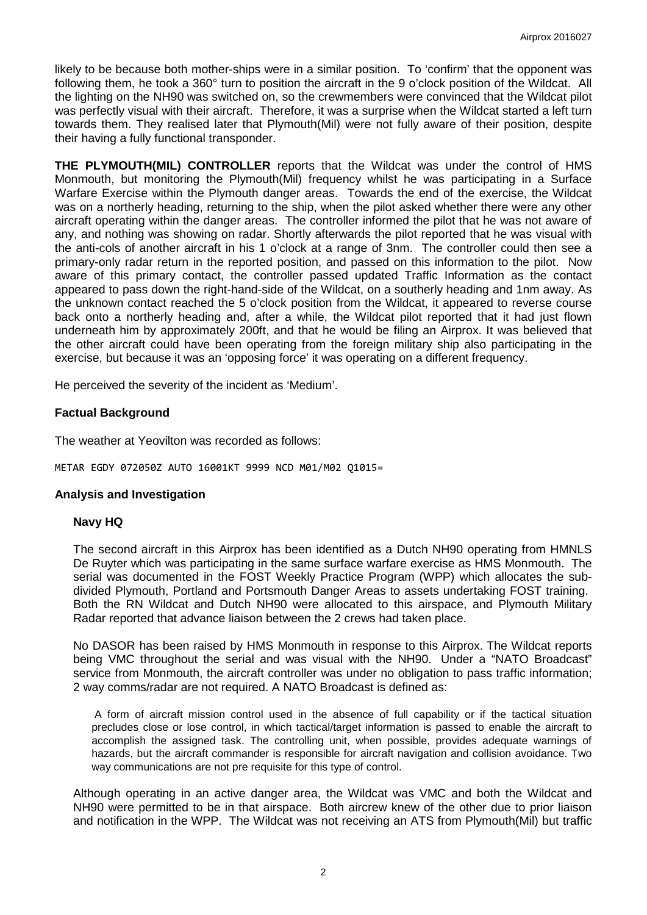likely to be because both mother-ships were in a similar position. To 'confirm' that the opponent was following them, he took a 360° turn to position the aircraft in the 9 o'clock position of the Wildcat. All the lighting on the NH90 was switched on, so the crewmembers were convinced that the Wildcat pilot was perfectly visual with their aircraft. Therefore, it was a surprise when the Wildcat started a left turn towards them. They realised later that Plymouth(Mil) were not fully aware of their position, despite their having a fully functional transponder.

**THE PLYMOUTH(MIL) CONTROLLER** reports that the Wildcat was under the control of HMS Monmouth, but monitoring the Plymouth(Mil) frequency whilst he was participating in a Surface Warfare Exercise within the Plymouth danger areas. Towards the end of the exercise, the Wildcat was on a northerly heading, returning to the ship, when the pilot asked whether there were any other aircraft operating within the danger areas. The controller informed the pilot that he was not aware of any, and nothing was showing on radar. Shortly afterwards the pilot reported that he was visual with the anti-cols of another aircraft in his 1 o'clock at a range of 3nm. The controller could then see a primary-only radar return in the reported position, and passed on this information to the pilot. Now aware of this primary contact, the controller passed updated Traffic Information as the contact appeared to pass down the right-hand-side of the Wildcat, on a southerly heading and 1nm away. As the unknown contact reached the 5 o'clock position from the Wildcat, it appeared to reverse course back onto a northerly heading and, after a while, the Wildcat pilot reported that it had just flown underneath him by approximately 200ft, and that he would be filing an Airprox. It was believed that the other aircraft could have been operating from the foreign military ship also participating in the exercise, but because it was an 'opposing force' it was operating on a different frequency.

He perceived the severity of the incident as 'Medium'.

#### **Factual Background**

The weather at Yeovilton was recorded as follows:

METAR EGDY 072050Z AUTO 16001KT 9999 NCD M01/M02 Q1015=

#### **Analysis and Investigation**

#### **Navy HQ**

The second aircraft in this Airprox has been identified as a Dutch NH90 operating from HMNLS De Ruyter which was participating in the same surface warfare exercise as HMS Monmouth. The serial was documented in the FOST Weekly Practice Program (WPP) which allocates the subdivided Plymouth, Portland and Portsmouth Danger Areas to assets undertaking FOST training. Both the RN Wildcat and Dutch NH90 were allocated to this airspace, and Plymouth Military Radar reported that advance liaison between the 2 crews had taken place.

No DASOR has been raised by HMS Monmouth in response to this Airprox. The Wildcat reports being VMC throughout the serial and was visual with the NH90. Under a "NATO Broadcast" service from Monmouth, the aircraft controller was under no obligation to pass traffic information; 2 way comms/radar are not required. A NATO Broadcast is defined as:

A form of aircraft mission control used in the absence of full capability or if the tactical situation precludes close or lose control, in which tactical/target information is passed to enable the aircraft to accomplish the assigned task. The controlling unit, when possible, provides adequate warnings of hazards, but the aircraft commander is responsible for aircraft navigation and collision avoidance. Two way communications are not pre requisite for this type of control.

Although operating in an active danger area, the Wildcat was VMC and both the Wildcat and NH90 were permitted to be in that airspace. Both aircrew knew of the other due to prior liaison and notification in the WPP. The Wildcat was not receiving an ATS from Plymouth(Mil) but traffic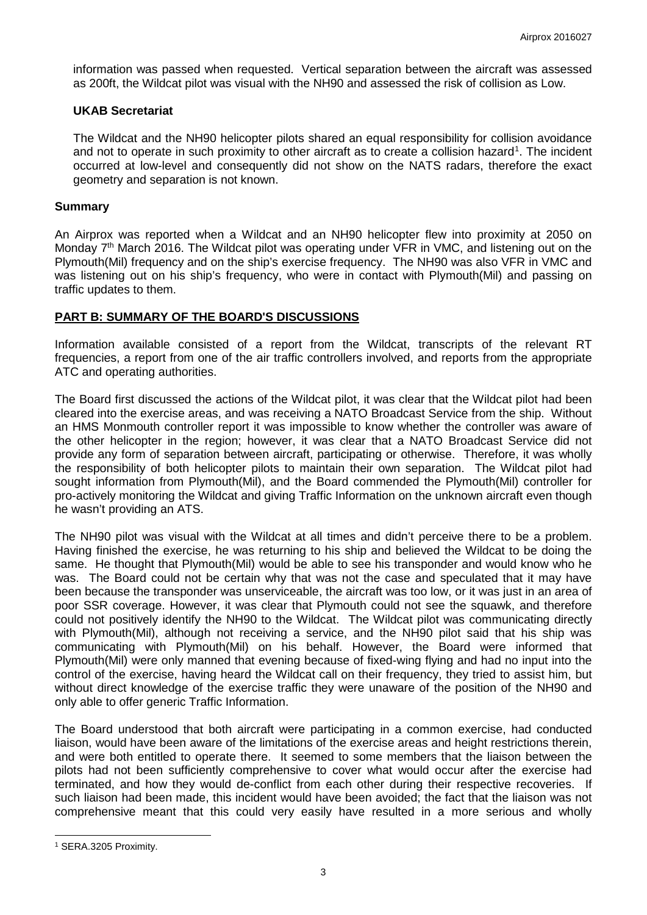information was passed when requested. Vertical separation between the aircraft was assessed as 200ft, the Wildcat pilot was visual with the NH90 and assessed the risk of collision as Low.

#### **UKAB Secretariat**

The Wildcat and the NH90 helicopter pilots shared an equal responsibility for collision avoidance and not to operate in such proximity to other aircraft as to create a collision hazard<sup>[1](#page-2-0)</sup>. The incident occurred at low-level and consequently did not show on the NATS radars, therefore the exact geometry and separation is not known.

#### **Summary**

An Airprox was reported when a Wildcat and an NH90 helicopter flew into proximity at 2050 on Monday 7<sup>th</sup> March 2016. The Wildcat pilot was operating under VFR in VMC, and listening out on the Plymouth(Mil) frequency and on the ship's exercise frequency. The NH90 was also VFR in VMC and was listening out on his ship's frequency, who were in contact with Plymouth(Mil) and passing on traffic updates to them.

### **PART B: SUMMARY OF THE BOARD'S DISCUSSIONS**

Information available consisted of a report from the Wildcat, transcripts of the relevant RT frequencies, a report from one of the air traffic controllers involved, and reports from the appropriate ATC and operating authorities.

The Board first discussed the actions of the Wildcat pilot, it was clear that the Wildcat pilot had been cleared into the exercise areas, and was receiving a NATO Broadcast Service from the ship. Without an HMS Monmouth controller report it was impossible to know whether the controller was aware of the other helicopter in the region; however, it was clear that a NATO Broadcast Service did not provide any form of separation between aircraft, participating or otherwise. Therefore, it was wholly the responsibility of both helicopter pilots to maintain their own separation. The Wildcat pilot had sought information from Plymouth(Mil), and the Board commended the Plymouth(Mil) controller for pro-actively monitoring the Wildcat and giving Traffic Information on the unknown aircraft even though he wasn't providing an ATS.

The NH90 pilot was visual with the Wildcat at all times and didn't perceive there to be a problem. Having finished the exercise, he was returning to his ship and believed the Wildcat to be doing the same. He thought that Plymouth(Mil) would be able to see his transponder and would know who he was. The Board could not be certain why that was not the case and speculated that it may have been because the transponder was unserviceable, the aircraft was too low, or it was just in an area of poor SSR coverage. However, it was clear that Plymouth could not see the squawk, and therefore could not positively identify the NH90 to the Wildcat. The Wildcat pilot was communicating directly with Plymouth(Mil), although not receiving a service, and the NH90 pilot said that his ship was communicating with Plymouth(Mil) on his behalf. However, the Board were informed that Plymouth(Mil) were only manned that evening because of fixed-wing flying and had no input into the control of the exercise, having heard the Wildcat call on their frequency, they tried to assist him, but without direct knowledge of the exercise traffic they were unaware of the position of the NH90 and only able to offer generic Traffic Information.

The Board understood that both aircraft were participating in a common exercise, had conducted liaison, would have been aware of the limitations of the exercise areas and height restrictions therein, and were both entitled to operate there. It seemed to some members that the liaison between the pilots had not been sufficiently comprehensive to cover what would occur after the exercise had terminated, and how they would de-conflict from each other during their respective recoveries. If such liaison had been made, this incident would have been avoided; the fact that the liaison was not comprehensive meant that this could very easily have resulted in a more serious and wholly

 $\overline{\phantom{a}}$ 

<span id="page-2-0"></span><sup>1</sup> SERA.3205 Proximity.